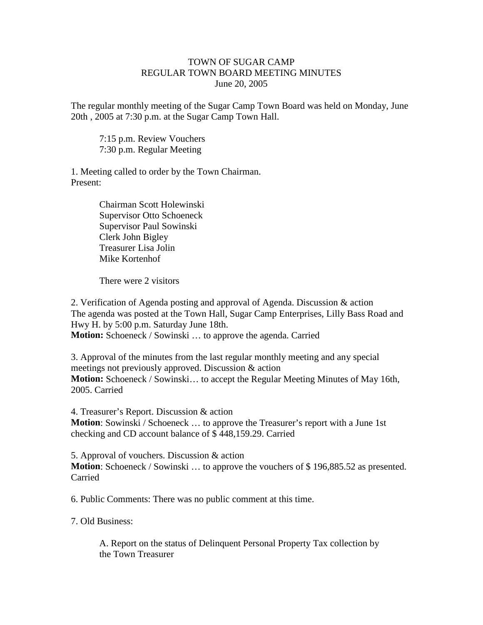## TOWN OF SUGAR CAMP REGULAR TOWN BOARD MEETING MINUTES June 20, 2005

The regular monthly meeting of the Sugar Camp Town Board was held on Monday, June 20th , 2005 at 7:30 p.m. at the Sugar Camp Town Hall.

7:15 p.m. Review Vouchers 7:30 p.m. Regular Meeting

1. Meeting called to order by the Town Chairman. Present:

> Chairman Scott Holewinski Supervisor Otto Schoeneck Supervisor Paul Sowinski Clerk John Bigley Treasurer Lisa Jolin Mike Kortenhof

There were 2 visitors

2. Verification of Agenda posting and approval of Agenda. Discussion & action The agenda was posted at the Town Hall, Sugar Camp Enterprises, Lilly Bass Road and Hwy H. by 5:00 p.m. Saturday June 18th.

**Motion:** Schoeneck / Sowinski ... to approve the agenda. Carried

3. Approval of the minutes from the last regular monthly meeting and any special meetings not previously approved. Discussion & action **Motion:** Schoeneck / Sowinski… to accept the Regular Meeting Minutes of May 16th, 2005. Carried

4. Treasurer's Report. Discussion & action **Motion**: Sowinski / Schoeneck … to approve the Treasurer's report with a June 1st checking and CD account balance of \$ 448,159.29. Carried

5. Approval of vouchers. Discussion & action **Motion**: Schoeneck / Sowinski ... to approve the vouchers of \$196,885.52 as presented. Carried

6. Public Comments: There was no public comment at this time.

7. Old Business:

A. Report on the status of Delinquent Personal Property Tax collection by the Town Treasurer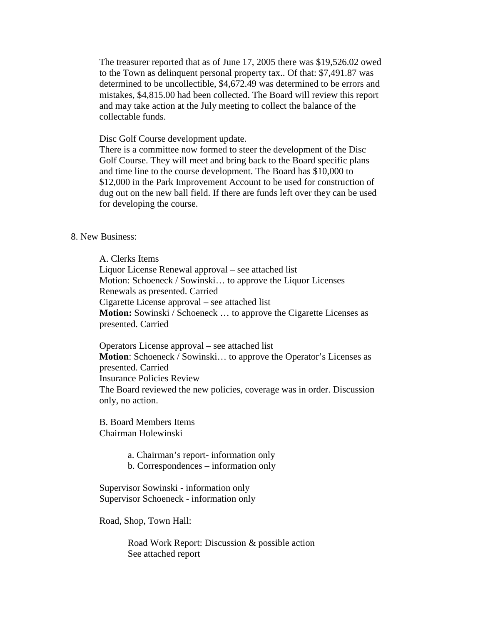The treasurer reported that as of June 17, 2005 there was \$19,526.02 owed to the Town as delinquent personal property tax.. Of that: \$7,491.87 was determined to be uncollectible, \$4,672.49 was determined to be errors and mistakes, \$4,815.00 had been collected. The Board will review this report and may take action at the July meeting to collect the balance of the collectable funds.

Disc Golf Course development update.

There is a committee now formed to steer the development of the Disc Golf Course. They will meet and bring back to the Board specific plans and time line to the course development. The Board has \$10,000 to \$12,000 in the Park Improvement Account to be used for construction of dug out on the new ball field. If there are funds left over they can be used for developing the course.

## 8. New Business:

A. Clerks Items Liquor License Renewal approval – see attached list Motion: Schoeneck / Sowinski… to approve the Liquor Licenses Renewals as presented. Carried Cigarette License approval – see attached list **Motion:** Sowinski / Schoeneck ... to approve the Cigarette Licenses as presented. Carried

Operators License approval – see attached list **Motion**: Schoeneck / Sowinski... to approve the Operator's Licenses as presented. Carried Insurance Policies Review The Board reviewed the new policies, coverage was in order. Discussion only, no action.

B. Board Members Items Chairman Holewinski

a. Chairman's report- information only

b. Correspondences – information only

Supervisor Sowinski - information only Supervisor Schoeneck - information only

Road, Shop, Town Hall:

Road Work Report: Discussion & possible action See attached report